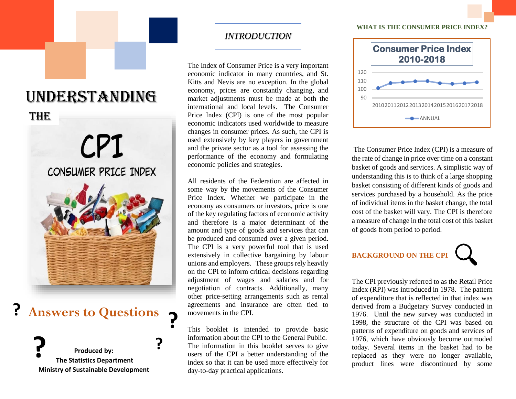# UNDERSTANDING

## THE



## **Answers to Questions ? ?**

**Produced by: The Statistics Department Ministry of Sustainable Development ?**

**?**

## *INTRODUCTION*

The Index of Consumer Price is a very important economic indicator in many countries, and St. Kitts and Nevis are no exception. In the global economy, prices are constantly changing, and market adjustments must be made at both the international and local levels. The Consumer Price Index (CPI) is one of the most popular economic indicators used worldwide to measure changes in consumer prices. As such, the CPI is used extensively by key players in government and the private sector as a tool for assessing the performance of the economy and formulating economic policies and strategies.

All residents of the Federation are affected in some way by the movements of the Consumer Price Index. Whether we participate in the economy as consumers or investors, price is one of the key regulating factors of economic activity and therefore is a major determinant of the amount and type of goods and services that can be produced and consumed over a given period. The CPI is a very powerful tool that is used extensively in collective bargaining by labour unions and employers. These groups rely heavily on the CPI to inform critical decisions regarding adjustment of wages and salaries and for negotiation of contracts. Additionally, many other price-setting arrangements such as rental agreements and insurance are often tied to movements in the CPI.

This booklet is intended to provide basic information about the CPI to the General Public. The information in this booklet serves to give users of the CPI a better understanding of the index so that it can be used more effectively for day-to-day practical applications.

#### **WHAT IS THE CONSUMER PRICE INDEX?**



The Consumer Price Index (CPI) is a measure of the rate of change in price over time on a constant basket of goods and services. A simplistic way of understanding this is to think of a large shopping basket consisting of different kinds of goods and services purchased by a household. As the price of individual items in the basket change, the total cost of the basket will vary. The CPI is therefore a measure of change in the total cost of this basket of goods from period to period.

## **BACKGROUND ON THE CPI**

The CPI previously referred to as the Retail Price Index (RPI) was introduced in 1978. The pattern of expenditure that is reflected in that index was derived from a Budgetary Survey conducted in 1976. Until the new survey was conducted in 1998, the structure of the CPI was based on patterns of expenditure on goods and services of 1976, which have obviously become outmoded today. Several items in the basket had to be replaced as they were no longer available, product lines were discontinued by some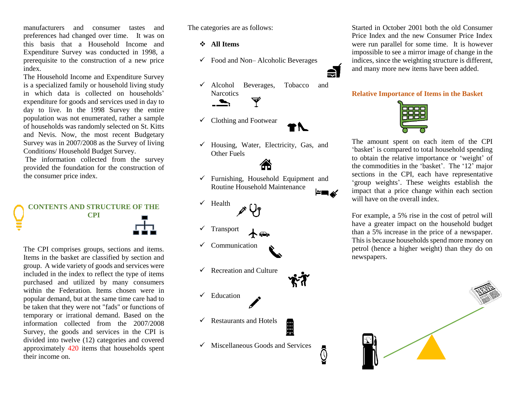manufacturers and consumer tastes and preferences had changed over time. It was on this basis that a Household Income and Expenditure Survey was conducted in 1998, a prerequisite to the construction of a new price index.

The Household Income and Expenditure Survey is a specialized family or household living study in which data is collected on households' expenditure for goods and services used in day to day to live. In the 1998 Survey the entire population was not enumerated, rather a sample of households was randomly selected on St. Kitts and Nevis. Now, the most recent Budgetary Survey was in 2007/2008 as the Survey of living Conditions/ Household Budget Survey.

The information collected from the survey provided the foundation for the construction of the consumer price index.



The CPI comprises groups, sections and items. Items in the basket are classified by section and group. A wide variety of goods and services were included in the index to reflect the type of items purchased and utilized by many consumers within the Federation. Items chosen were in popular demand, but at the same time care had to be taken that they were not "fads" or functions of temporary or irrational demand. Based on the information collected from the 2007/2008 Survey, the goods and services in the CPI is divided into twelve (12) categories and covered approximately 420 items that households spent their income on.

The categories are as follows:

**All Items**

- $\checkmark$  Food and Non– Alcoholic Beverages
- Alcohol Beverages, Tobacco and **Narcotics** Ý  $\rightarrow$
- $\checkmark$  Clothing and Footwear
- $\checkmark$  Housing, Water, Electricity, Gas, and Other Fuels

 $\checkmark$  Furnishing, Household Equipment and Routine Household Maintenance

- $\checkmark$  Health
- $\checkmark$  Transport
- $\checkmark$  Communication
- $\checkmark$  Recreation and Culture
- $\checkmark$  Education
- $\checkmark$  Restaurants and Hotels 用
- $\checkmark$  Miscellaneous Goods and Services

්

Started in October 2001 both the old Consumer Price Index and the new Consumer Price Index were run parallel for some time. It is however impossible to see a mirror image of change in the indices, since the weighting structure is different, and many more new items have been added.

#### **Relative Importance of Items in the Basket**



The amount spent on each item of the CPI 'basket' is compared to total household spending to obtain the relative importance or 'weight' of the commodities in the 'basket'. The '12' major sections in the CPI, each have representative 'group weights'. These weights establish the impact that a price change within each section will have on the overall index.

For example, a 5% rise in the cost of petrol will have a greater impact on the household budget than a 5% increase in the price of a newspaper. This is because households spend more money on petrol (hence a higher weight) than they do on newspapers.

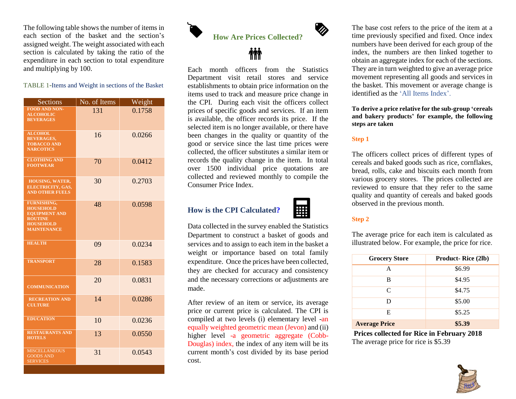The following table shows the number of items in each section of the basket and the section's assigned weight. The weight associated with each section is calculated by taking the ratio of the expenditure in each section to total expenditure and multiplying by 100.

#### TABLE 1-Items and Weight in sections of the Basket

| Sections                                                                                                                   | No. of Items | Weight |
|----------------------------------------------------------------------------------------------------------------------------|--------------|--------|
| <b>FOOD AND NON-</b><br><b>ALCOHOLIC</b><br><b>BEVERAGES</b>                                                               | 131          | 0.1758 |
| <b>ALCOHOL</b><br><b>BEVERAGES,</b><br><b>TOBACCO AND</b><br><b>NARCOTICS</b>                                              | 16           | 0.0266 |
| <b>CLOTHING AND</b><br><b>FOOTWEAR</b>                                                                                     | 70           | 0.0412 |
| HOUSING, WATER,<br>ELECTRICITY, GAS,<br><b>AND OTHER FUELS</b>                                                             | 30           | 0.2703 |
| <b>FURNISHING.</b><br><b>HOUSEHOLD</b><br><b>EOUIPMENT AND</b><br><b>ROUTINE</b><br><b>HOUSEHOLD</b><br><b>MAINTENANCE</b> | 48           | 0.0598 |
| <b>HEALTH</b>                                                                                                              | 09           | 0.0234 |
| <b>TRANSPORT</b>                                                                                                           | 28           | 0.1583 |
| <b>COMMUNICATION</b>                                                                                                       | 20           | 0.0831 |
| <b>RECREATION AND</b><br><b>CULTURE</b>                                                                                    | 14           | 0.0286 |
| <b>EDUCATION</b>                                                                                                           | 10           | 0.0236 |
| <b>RESTAURANTS AND</b><br><b>HOTELS</b>                                                                                    | 13           | 0.0550 |
| <b>MISCELLANEOUS</b><br><b>GOODS AND</b><br><b>SERVICES</b>                                                                | 31           | 0.0543 |

**How Are Prices Collected?**



Each month officers from the Statistics Department visit retail stores and service establishments to obtain price information on the items used to track and measure price change in the CPI. During each visit the officers collect prices of specific goods and services. If an item is available, the officer records its price. If the selected item is no longer available, or there have been changes in the quality or quantity of the good or service since the last time prices were collected, the officer substitutes a similar item or records the quality change in the item. In total over 1500 individual price quotations are collected and reviewed monthly to compile the Consumer Price Index.

## **How is the CPI Calculated?**



Ø

Data collected in the survey enabled the Statistics Department to construct a basket of goods and services and to assign to each item in the basket a weight or importance based on total family expenditure. Once the prices have been collected, they are checked for accuracy and consistency and the necessary corrections or adjustments are made.

After review of an item or service, its average price or current price is calculated. The CPI is compiled at two levels (i) elementary level -an equally weighted geometric mean (Jevon) and (ii) higher level -a geometric aggregate (Cobb-Douglas) index, the index of any item will be its current month's cost divided by its base period cost.

The base cost refers to the price of the item at a time previously specified and fixed. Once index numbers have been derived for each group of the index, the numbers are then linked together to obtain an aggregate index for each of the sections. They are in turn weighted to give an average price movement representing all goods and services in the basket. This movement or average change is identified as the 'All Items Index'.

**To derive a price relative for the sub-group 'cereals and bakery products' for example, the following steps are taken**

#### **Step 1**

The officers collect prices of different types of cereals and baked goods such as rice, cornflakes, bread, rolls, cake and biscuits each month from various grocery stores. The prices collected are reviewed to ensure that they refer to the same quality and quantity of cereals and baked goods observed in the previous month.

#### **Step 2**

The average price for each item is calculated as illustrated below. For example, the price for rice.

| <b>Grocery Store</b> | <b>Product-Rice (2lb)</b> |  |  |  |
|----------------------|---------------------------|--|--|--|
| A                    | \$6.99                    |  |  |  |
| в                    | \$4.95                    |  |  |  |
| C                    | \$4.75                    |  |  |  |
| D                    | \$5.00                    |  |  |  |
| E                    | \$5.25                    |  |  |  |
| <b>Average Price</b> | \$5.39                    |  |  |  |

**Prices collected for Rice in February 2018** The average price for rice is \$5.39

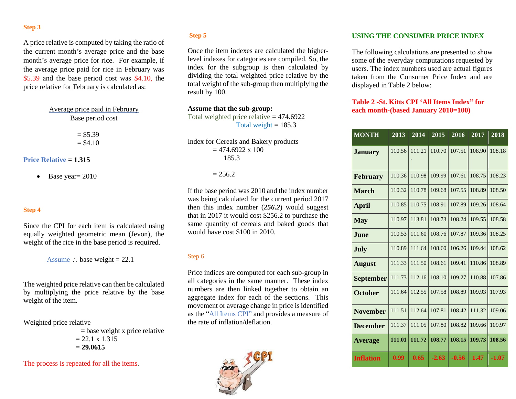#### **Step 3**

A price relative is computed by taking the ratio of the current month's average price and the base month's average price for rice. For example, if the average price paid for rice in February was \$5.39 and the base period cost was \$4.10, the price relative for February is calculated as:

> Average price paid in February Base period cost

> > $= $5.39$  $= $4.10$

#### **Price Relative = 1.315**

 $\bullet$  Base year = 2010

#### **Step 4**

Since the CPI for each item is calculated using equally weighted geometric mean (Jevon), the weight of the rice in the base period is required.

Assume  $\therefore$  base weight = 22.1

The weighted price relative can then be calculated by multiplying the price relative by the base weight of the item.

Weighted price relative

 $=$  base weight x price relative  $= 22.1 \times 1.315$ = **29.0615**

The process is repeated for all the items.

#### **Step 5**

Once the item indexes are calculated the higherlevel indexes for categories are compiled. So, the index for the subgroup is then calculated by dividing the total weighted price relative by the total weight of the sub-group then multiplying the result by 100.

**Assume that the sub-group:**  Total weighted price relative  $= 474.6922$ 

Total weight  $= 185.3$ 

Index for Cereals and Bakery products  $= 474.6922 \times 100$ 185.3

 $= 256.2$ 

If the base period was 2010 and the index number was being calculated for the current period 2017 then this index number (*256.2*) would suggest that in 2017 it would cost \$256.2 to purchase the same quantity of cereals and baked goods that would have cost \$100 in 2010.

#### Step 6

Price indices are computed for each sub-group in all categories in the same manner. These index numbers are then linked together to obtain an aggregate index for each of the sections. This movement or average change in price is identified as the "All Items CPI" and provides a measure of the rate of inflation/deflation.



#### **USING THE CONSUMER PRICE INDEX**

The following calculations are presented to show some of the everyday computations requested by users. The index numbers used are actual figures taken from the Consumer Price Index and are displayed in Table 2 below:

#### **Table 2 -St. Kitts CPI 'All Items Index" for each month-(based January 2010=100)**

| <b>MONTH</b>     | 2013   | 2014   | 2015    | 2016    | 2017   | 2018    |
|------------------|--------|--------|---------|---------|--------|---------|
| <b>January</b>   | 110.56 | 111.21 | 110.70  | 107.51  | 108.90 | 108.18  |
| <b>February</b>  | 110.36 | 110.98 | 109.99  | 107.61  | 108.75 | 108.23  |
| <b>March</b>     | 110.32 | 110.78 | 109.68  | 107.55  | 108.89 | 108.50  |
| <b>April</b>     | 110.85 | 110.75 | 108.91  | 107.89  | 109.26 | 108.64  |
| <b>May</b>       | 110.97 | 113.81 | 108.73  | 108.24  | 109.55 | 108.58  |
| <b>June</b>      | 110.53 | 111.60 | 108.76  | 107.87  | 109.36 | 108.25  |
| <b>July</b>      | 110.89 | 111.64 | 108.60  | 106.26  | 109.44 | 108.62  |
| <b>August</b>    | 111.33 | 111.50 | 108.61  | 109.41  | 110.86 | 108.89  |
| <b>September</b> | 111.73 | 112.16 | 108.10  | 109.27  | 110.88 | 107.86  |
| <b>October</b>   | 111.64 | 112.55 | 107.58  | 108.89  | 109.93 | 107.93  |
| <b>November</b>  | 111.51 | 112.64 | 107.81  | 108.42  | 111.32 | 109.06  |
| <b>December</b>  | 111.37 | 111.05 | 107.80  | 108.82  | 109.66 | 109.97  |
| <b>Average</b>   | 111.01 | 111.72 | 108.77  | 108.15  | 109.73 | 108.56  |
| <b>Inflation</b> | 0.99   | 0.65   | $-2.63$ | $-0.56$ | 1.47   | $-1.07$ |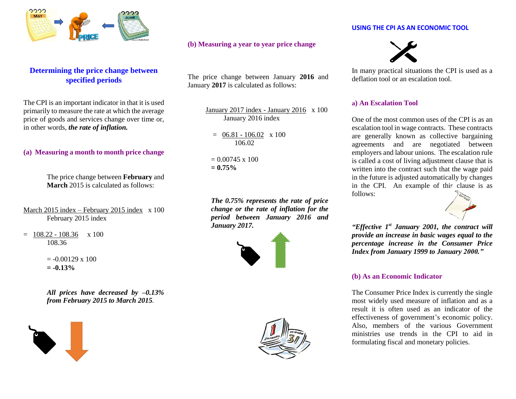

### **Determining the price change between specified periods**

The CPI is an important indicator in that it is used primarily to measure the rate at which the average price of goods and services change over time or, in other words, *the rate of inflation.*

#### **(a) Measuring a month to month price change**

The price change between **February** and **March** 2015 is calculated as follows:

March 2015 index – February 2015 index x 100 February 2015 index

 $= 108.22 - 108.36 \times 100$ 108.36

> $= -0.00129 \times 100$  $= -0.13%$

*All prices have decreased by –0.13% from February 2015 to March 2015.*



#### **(b) Measuring a year to year price change**

The price change between January **2016** and January **2017** is calculated as follows:

> January 2017 index - January 2016 x 100 January 2016 index

 $= 06.81 - 106.02 \times 100$ 106.02

 $= 0.00745 \times 100$ **= 0.75%**

*The 0.75% represents the rate of price change or the rate of inflation for the period between January 2016 and January 2017.*





#### **USING THE CPI AS AN ECONOMIC TOOL**



In many practical situations the CPI is used as a deflation tool or an escalation tool.

#### **a) An Escalation Tool**

One of the most common uses of the CPI is as an escalation tool in wage contracts. These contracts are generally known as collective bargaining agreements and are negotiated between employers and labour unions. The escalation rule is called a cost of living adjustment clause that is written into the contract such that the wage paid in the future is adjusted automatically by changes in the CPI. An example of this clause is as follows:



*"Effective 1st January 2001, the contract will provide an increase in basic wages equal to the percentage increase in the Consumer Price Index from January 1999 to January 2000."*

#### **(b) As an Economic Indicator**

The Consumer Price Index is currently the single most widely used measure of inflation and as a result it is often used as an indicator of the effectiveness of government's economic policy. Also, members of the various Government ministries use trends in the CPI to aid in formulating fiscal and monetary policies.